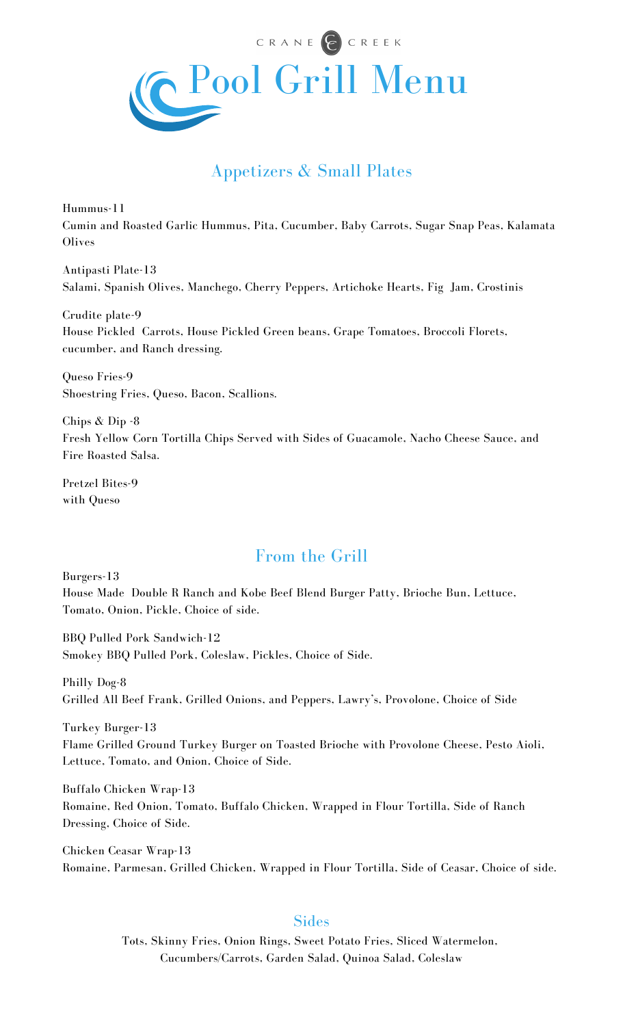

# Appetizers & Small Plates

Hummus-11 Cumin and Roasted Garlic Hummus, Pita, Cucumber, Baby Carrots, Sugar Snap Peas, Kalamata **Olives** 

Antipasti Plate-13 Salami, Spanish Olives, Manchego, Cherry Peppers, Artichoke Hearts, Fig Jam, Crostinis

Crudite plate-9 House Pickled Carrots, House Pickled Green beans, Grape Tomatoes, Broccoli Florets, cucumber, and Ranch dressing.

Queso Fries-9 Shoestring Fries, Queso, Bacon, Scallions.

Chips & Dip -8 Fresh Yellow Corn Tortilla Chips Served with Sides of Guacamole, Nacho Cheese Sauce, and Fire Roasted Salsa.

Pretzel Bites-9 with Queso

## From the Grill

Burgers-13

House Made Double R Ranch and Kobe Beef Blend Burger Patty, Brioche Bun, Lettuce, Tomato, Onion, Pickle, Choice of side.

BBQ Pulled Pork Sandwich-12 Smokey BBQ Pulled Pork, Coleslaw, Pickles, Choice of Side.

Philly Dog-8 Grilled All Beef Frank, Grilled Onions, and Peppers, Lawry's, Provolone, Choice of Side

Turkey Burger-13 Flame Grilled Ground Turkey Burger on Toasted Brioche with Provolone Cheese, Pesto Aioli, Lettuce, Tomato, and Onion, Choice of Side.

Buffalo Chicken Wrap-13 Romaine, Red Onion, Tomato, Buffalo Chicken, Wrapped in Flour Tortilla, Side of Ranch Dressing, Choice of Side.

Chicken Ceasar Wrap-13 Romaine, Parmesan, Grilled Chicken, Wrapped in Flour Tortilla, Side of Ceasar, Choice of side.

#### **Sides**

Tots, Skinny Fries, Onion Rings, Sweet Potato Fries, Sliced Watermelon, Cucumbers/Carrots, Garden Salad, Quinoa Salad, Coleslaw